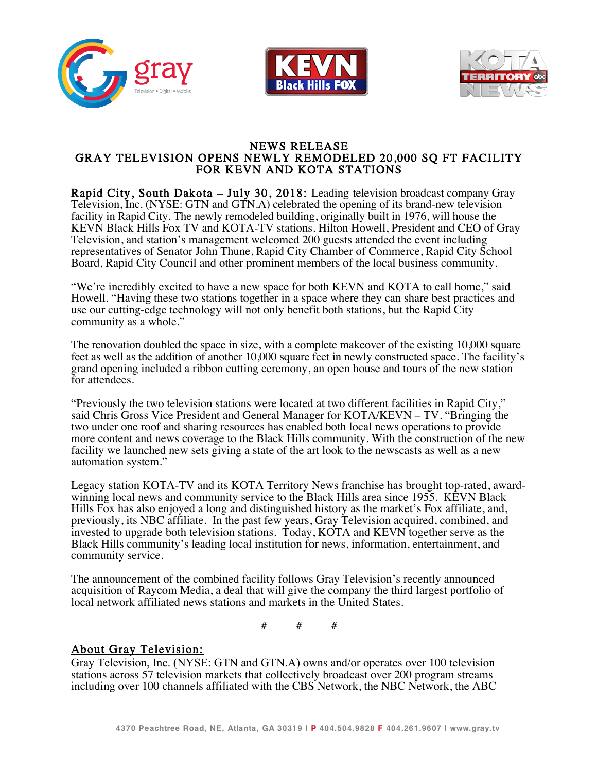





# NEWS RELEASE<br>GRAY TELEVISION OPENS NEWLY REMODELED 20,000 SQ FT FACILITY<br>FOR KEVN AND KOTA STATIONS

Rapid City, South Dakota – July 30, 2018: Leading television broadcast company Gray Television, Inc. (NYSE: GTN and GTN.A) celebrated the opening of its brand-new television facility in Rapid City. The newly remodeled building, originally built in 1976, will house the KEVN Black Hills Fox TV and KOTA-TV stations. Hilton Howell, President and CEO of Gray Television, and station's management welcomed 200 guests attended the event including representatives of Senator John Thune, Rapid City Chamber of Commerce, Rapid City School Board, Rapid City Council and other prominent members of the local business community.

"We're incredibly excited to have a new space for both KEVN and KOTA to call home," said Howell. "Having these two stations together in a space where they can share best practices and use our cutting-edge technology will not only benefit both stations, but the Rapid City community as a whole."

The renovation doubled the space in size, with a complete makeover of the existing 10,000 square feet as well as the addition of another 10,000 square feet in newly constructed space. The facility's grand opening included a ribbon cutting ceremony, an open house and tours of the new station for attendees.

"Previously the two television stations were located at two different facilities in Rapid City," said Chris Gross Vice President and General Manager for KOTA/KEVN – TV. "Bringing the two under one roof and sharing resources has enabled both local news operations to provide more content and news coverage to the Black Hills community. With the construction of the new facility we launched new sets giving a state of the art look to the newscasts as well as a new automation system."

Legacy station KOTA-TV and its KOTA Territory News franchise has brought top-rated, award- winning local news and community service to the Black Hills area since 1955. KEVN Black Hills Fox has also enjoyed a long and distinguished history as the market's Fox affiliate, and, previously, its NBC affiliate. In the past few years, Gray Television acquired, combined, and invested to upgrade both television stations. Today, KOTA and KEVN together serve as the Black Hills community's leading local institution for news, information, entertainment, and community service.

The announcement of the combined facility follows Gray Television's recently announced acquisition of Raycom Media, a deal that will give the company the third largest portfolio of local network affiliated news stations and markets in the United States.

# # #

## About Gray Television:

Gray Television, Inc. (NYSE: GTN and GTN.A) owns and/or operates over 100 television stations across 57 television markets that collectively broadcast over 200 program streams including over 100 channels affiliated with the CBS Network, the NBC Network, the ABC